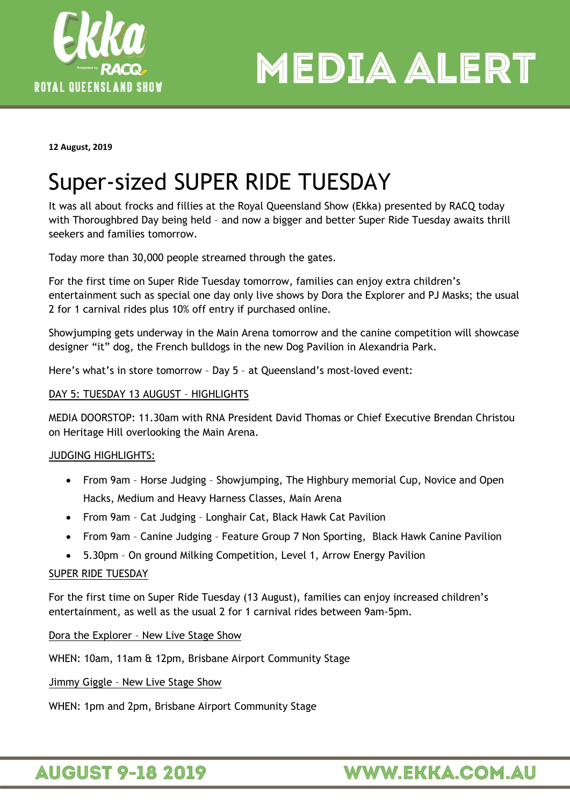

**MEDIA ALERT** 

**12 August, 2019**

# Super-sized SUPER RIDE TUESDAY

It was all about frocks and fillies at the Royal Queensland Show (Ekka) presented by RACQ today with Thoroughbred Day being held – and now a bigger and better Super Ride Tuesday awaits thrill seekers and families tomorrow.

Today more than 30,000 people streamed through the gates.

For the first time on Super Ride Tuesday tomorrow, families can enjoy extra children's entertainment such as special one day only live shows by Dora the Explorer and PJ Masks; the usual 2 for 1 carnival rides plus 10% off entry if purchased online.

Showjumping gets underway in the Main Arena tomorrow and the canine competition will showcase designer "it" dog, the French bulldogs in the new Dog Pavilion in Alexandria Park.

Here's what's in store tomorrow – Day 5 – at Queensland's most-loved event:

# DAY 5: TUESDAY 13 AUGUST – HIGHLIGHTS

MEDIA DOORSTOP: 11.30am with RNA President David Thomas or Chief Executive Brendan Christou on Heritage Hill overlooking the Main Arena.

# JUDGING HIGHLIGHTS:

- From 9am Horse Judging Showjumping, The Highbury memorial Cup, Novice and Open Hacks, Medium and Heavy Harness Classes, Main Arena
- From 9am Cat Judging Longhair Cat, Black Hawk Cat Pavilion
- From 9am Canine Judging Feature Group 7 Non Sporting, Black Hawk Canine Pavilion
- 5.30pm On ground Milking Competition, Level 1, Arrow Energy Pavilion

## SUPER RIDE TUESDAY

For the first time on Super Ride Tuesday (13 August), families can enjoy increased children's entertainment, as well as the usual 2 for 1 carnival rides between 9am-5pm.

## Dora the Explorer – New Live Stage Show

WHEN: 10am, 11am & 12pm, Brisbane Airport Community Stage

Jimmy Giggle – New Live Stage Show

WHEN: 1pm and 2pm, Brisbane Airport Community Stage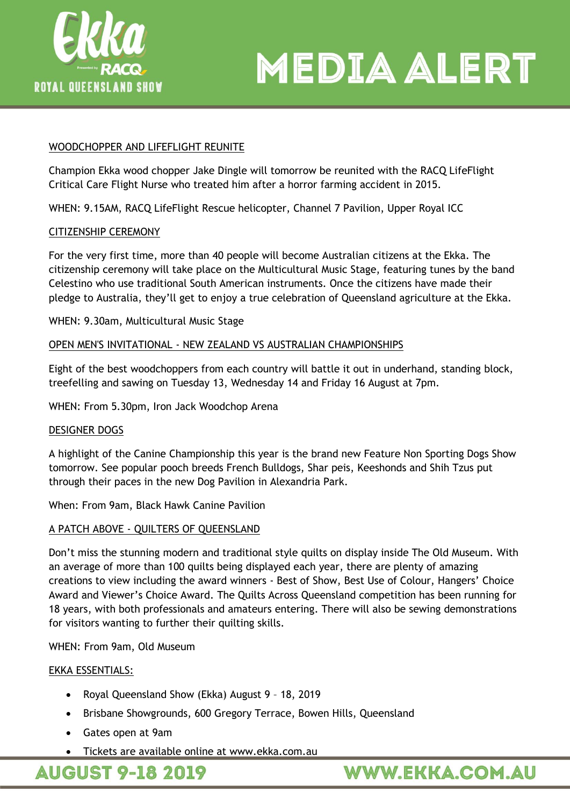



## WOODCHOPPER AND LIFEFLIGHT REUNITE

Champion Ekka wood chopper Jake Dingle will tomorrow be reunited with the RACQ LifeFlight Critical Care Flight Nurse who treated him after a horror farming accident in 2015.

WHEN: 9.15AM, RACQ LifeFlight Rescue helicopter, Channel 7 Pavilion, Upper Royal ICC

## CITIZENSHIP CEREMONY

For the very first time, more than 40 people will become Australian citizens at the Ekka. The citizenship ceremony will take place on the Multicultural Music Stage, featuring tunes by the band Celestino who use traditional South American instruments. Once the citizens have made their pledge to Australia, they'll get to enjoy a true celebration of Queensland agriculture at the Ekka.

WHEN: 9.30am, Multicultural Music Stage

#### OPEN MEN'S INVITATIONAL - NEW ZEALAND VS AUSTRALIAN CHAMPIONSHIPS

Eight of the best woodchoppers from each country will battle it out in underhand, standing block, treefelling and sawing on Tuesday 13, Wednesday 14 and Friday 16 August at 7pm.

WHEN: From 5.30pm, Iron Jack Woodchop Arena

#### DESIGNER DOGS

A highlight of the Canine Championship this year is the brand new Feature Non Sporting Dogs Show tomorrow. See popular pooch breeds French Bulldogs, Shar peis, Keeshonds and Shih Tzus put through their paces in the new Dog Pavilion in Alexandria Park.

When: From 9am, Black Hawk Canine Pavilion

## A PATCH ABOVE - QUILTERS OF QUEENSLAND

Don't miss the stunning modern and traditional style quilts on display inside The Old Museum. With an average of more than 100 quilts being displayed each year, there are plenty of amazing creations to view including the award winners - Best of Show, Best Use of Colour, Hangers' Choice Award and Viewer's Choice Award. The Quilts Across Queensland competition has been running for 18 years, with both professionals and amateurs entering. There will also be sewing demonstrations for visitors wanting to further their quilting skills.

WHEN: From 9am, Old Museum

#### EKKA ESSENTIALS:

- Royal Queensland Show (Ekka) August 9 18, 2019
- Brisbane Showgrounds, 600 Gregory Terrace, Bowen Hills, Queensland
- Gates open at 9am
- Tickets are available online at www.ekka.com.au

**AUGUST 9-18 2019** 

WWW.EKKA.COM.AU